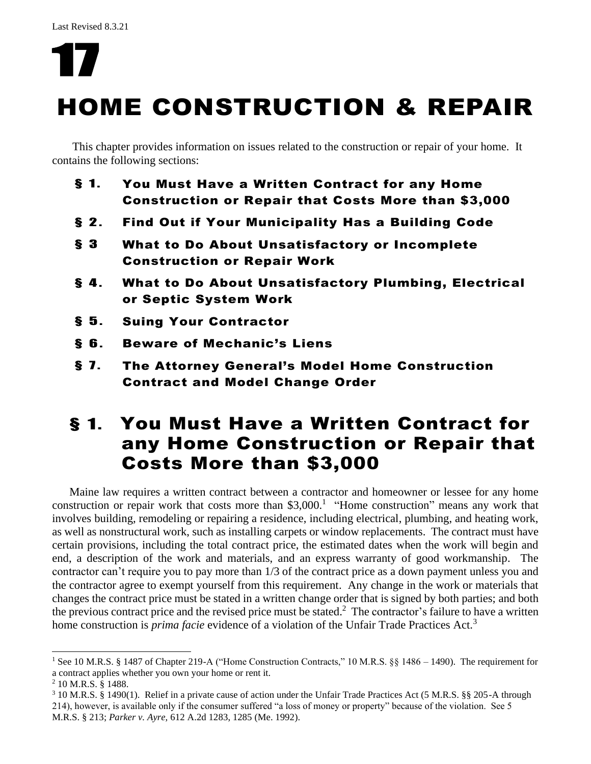# HOME CONSTRUCTION & REPAIR

This chapter provides information on issues related to the construction or repair of your home. It contains the following sections:

- § 1. You Must Have a Written Contract for any Home Construction or Repair that Costs More than \$3,000
- § 2. Find Out if Your Municipality Has a Building Code
- § 3 What to Do About Unsatisfactory or Incomplete Construction or Repair Work
- § 4. What to Do About Unsatisfactory Plumbing, Electrical or Septic System Work
- § 5. Suing Your Contractor
- § 6. Beware of Mechanic's Liens
- § 7. The Attorney General's Model Home Construction Contract and Model Change Order

# § 1. You Must Have a Written Contract for any Home Construction or Repair that Costs More than \$3,000

Maine law requires a written contract between a contractor and homeowner or lessee for any home construction or repair work that costs more than  $$3,000$ .<sup>1</sup> "Home construction" means any work that involves building, remodeling or repairing a residence, including electrical, plumbing, and heating work, as well as nonstructural work, such as installing carpets or window replacements. The contract must have certain provisions, including the total contract price, the estimated dates when the work will begin and end, a description of the work and materials, and an express warranty of good workmanship. The contractor can't require you to pay more than 1/3 of the contract price as a down payment unless you and the contractor agree to exempt yourself from this requirement. Any change in the work or materials that changes the contract price must be stated in a written change order that is signed by both parties; and both the previous contract price and the revised price must be stated.<sup>2</sup> The contractor's failure to have a written home construction is *prima facie* evidence of a violation of the Unfair Trade Practices Act.<sup>3</sup>

<sup>&</sup>lt;sup>1</sup> See 10 M.R.S. § 1487 of Chapter 219-A ("Home Construction Contracts," 10 M.R.S. §§ 1486 – 1490). The requirement for a contract applies whether you own your home or rent it.

<sup>2</sup> 10 M.R.S. § 1488.

<sup>3</sup> 10 M.R.S. § 1490(1). Relief in a private cause of action under the Unfair Trade Practices Act (5 M.R.S. §§ 205-A through 214), however, is available only if the consumer suffered "a loss of money or property" because of the violation. See 5 M.R.S. § 213; *Parker v. Ayre,* 612 A.2d 1283, 1285 (Me. 1992).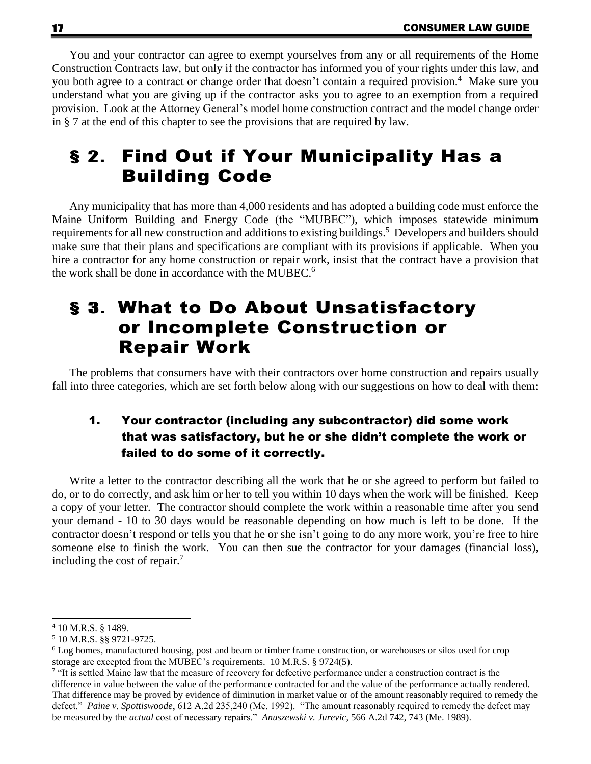You and your contractor can agree to exempt yourselves from any or all requirements of the Home Construction Contracts law, but only if the contractor has informed you of your rights under this law, and you both agree to a contract or change order that doesn't contain a required provision. <sup>4</sup> Make sure you understand what you are giving up if the contractor asks you to agree to an exemption from a required provision. Look at the Attorney General's model home construction contract and the model change order in § 7 at the end of this chapter to see the provisions that are required by law.

# § 2. Find Out if Your Municipality Has a Building Code

Any municipality that has more than 4,000 residents and has adopted a building code must enforce the Maine Uniform Building and Energy Code (the "MUBEC"), which imposes statewide minimum requirements for all new construction and additions to existing buildings.<sup>5</sup> Developers and builders should make sure that their plans and specifications are compliant with its provisions if applicable. When you hire a contractor for any home construction or repair work, insist that the contract have a provision that the work shall be done in accordance with the MUBEC. 6

# § 3. What to Do About Unsatisfactory or Incomplete Construction or Repair Work

The problems that consumers have with their contractors over home construction and repairs usually fall into three categories, which are set forth below along with our suggestions on how to deal with them:

### 1. Your contractor (including any subcontractor) did some work that was satisfactory, but he or she didn't complete the work or failed to do some of it correctly.

Write a letter to the contractor describing all the work that he or she agreed to perform but failed to do, or to do correctly, and ask him or her to tell you within 10 days when the work will be finished. Keep a copy of your letter. The contractor should complete the work within a reasonable time after you send your demand - 10 to 30 days would be reasonable depending on how much is left to be done. If the contractor doesn't respond or tells you that he or she isn't going to do any more work, you're free to hire someone else to finish the work. You can then sue the contractor for your damages (financial loss), including the cost of repair.<sup>7</sup>

<sup>4</sup> 10 M.R.S. § 1489.

<sup>5</sup> 10 M.R.S. §§ 9721-9725.

<sup>6</sup> Log homes, manufactured housing, post and beam or timber frame construction, or warehouses or silos used for crop storage are excepted from the MUBEC's requirements. 10 M.R.S. § 9724(5).

<sup>&</sup>lt;sup>7</sup> "It is settled Maine law that the measure of recovery for defective performance under a construction contract is the difference in value between the value of the performance contracted for and the value of the performance actually rendered. That difference may be proved by evidence of diminution in market value or of the amount reasonably required to remedy the defect." *Paine v. Spottiswoode*, 612 A.2d 235,240 (Me. 1992). "The amount reasonably required to remedy the defect may be measured by the *actual* cost of necessary repairs." *Anuszewski v. Jurevic*, 566 A.2d 742, 743 (Me. 1989).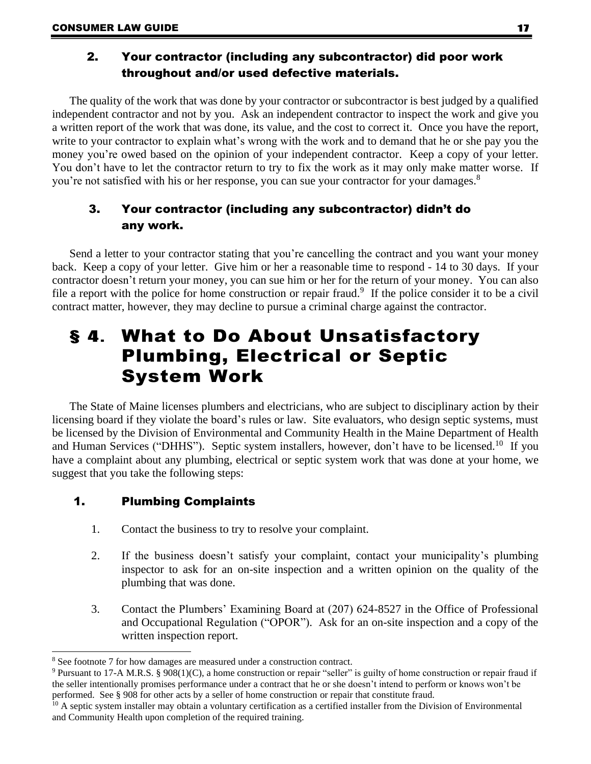### 2. Your contractor (including any subcontractor) did poor work throughout and/or used defective materials.

The quality of the work that was done by your contractor or subcontractor is best judged by a qualified independent contractor and not by you. Ask an independent contractor to inspect the work and give you a written report of the work that was done, its value, and the cost to correct it. Once you have the report, write to your contractor to explain what's wrong with the work and to demand that he or she pay you the money you're owed based on the opinion of your independent contractor. Keep a copy of your letter. You don't have to let the contractor return to try to fix the work as it may only make matter worse. If you're not satisfied with his or her response, you can sue your contractor for your damages.<sup>8</sup>

### 3. Your contractor (including any subcontractor) didn't do any work.

Send a letter to your contractor stating that you're cancelling the contract and you want your money back. Keep a copy of your letter. Give him or her a reasonable time to respond - 14 to 30 days. If your contractor doesn't return your money, you can sue him or her for the return of your money. You can also file a report with the police for home construction or repair fraud.<sup>9</sup> If the police consider it to be a civil contract matter, however, they may decline to pursue a criminal charge against the contractor.

# § 4. What to Do About Unsatisfactory Plumbing, Electrical or Septic System Work

The State of Maine licenses plumbers and electricians, who are subject to disciplinary action by their licensing board if they violate the board's rules or law. Site evaluators, who design septic systems, must be licensed by the Division of Environmental and Community Health in the Maine Department of Health and Human Services ("DHHS"). Septic system installers, however, don't have to be licensed.<sup>10</sup> If you have a complaint about any plumbing, electrical or septic system work that was done at your home, we suggest that you take the following steps:

#### 1. Plumbing Complaints

- 1. Contact the business to try to resolve your complaint.
- 2. If the business doesn't satisfy your complaint, contact your municipality's plumbing inspector to ask for an on-site inspection and a written opinion on the quality of the plumbing that was done.
- 3. Contact the Plumbers' Examining Board at (207) 624-8527 in the Office of Professional and Occupational Regulation ("OPOR"). Ask for an on-site inspection and a copy of the written inspection report.

<sup>8</sup> See footnote 7 for how damages are measured under a construction contract.

<sup>&</sup>lt;sup>9</sup> Pursuant to 17-A M.R.S. § 908(1)(C), a home construction or repair "seller" is guilty of home construction or repair fraud if the seller intentionally promises performance under a contract that he or she doesn't intend to perform or knows won't be performed. See § 908 for other acts by a seller of home construction or repair that constitute fraud.

 $10$  A septic system installer may obtain a voluntary certification as a certified installer from the Division of Environmental and Community Health upon completion of the required training.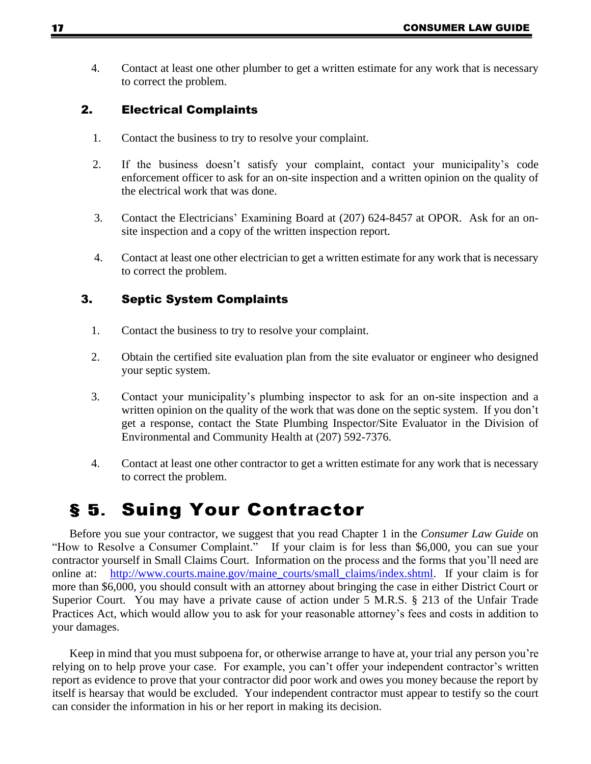4. Contact at least one other plumber to get a written estimate for any work that is necessary to correct the problem.

#### 2. Electrical Complaints

- 1. Contact the business to try to resolve your complaint.
- 2. If the business doesn't satisfy your complaint, contact your municipality's code enforcement officer to ask for an on-site inspection and a written opinion on the quality of the electrical work that was done.
- 3. Contact the Electricians' Examining Board at (207) 624-8457 at OPOR. Ask for an onsite inspection and a copy of the written inspection report.
- 4. Contact at least one other electrician to get a written estimate for any work that is necessary to correct the problem.

#### 3. Septic System Complaints

- 1. Contact the business to try to resolve your complaint.
- 2. Obtain the certified site evaluation plan from the site evaluator or engineer who designed your septic system.
- 3. Contact your municipality's plumbing inspector to ask for an on-site inspection and a written opinion on the quality of the work that was done on the septic system. If you don't get a response, contact the State Plumbing Inspector/Site Evaluator in the Division of Environmental and Community Health at (207) 592-7376.
- 4. Contact at least one other contractor to get a written estimate for any work that is necessary to correct the problem.

# § 5. Suing Your Contractor

Before you sue your contractor, we suggest that you read Chapter 1 in the *Consumer Law Guide* on "How to Resolve a Consumer Complaint." If your claim is for less than \$6,000, you can sue your contractor yourself in Small Claims Court. Information on the process and the forms that you'll need are online at: http://www.courts.maine.gov/maine courts/small claims/index.shtml. If your claim is for more than \$6,000, you should consult with an attorney about bringing the case in either District Court or Superior Court. You may have a private cause of action under 5 M.R.S. § 213 of the Unfair Trade Practices Act, which would allow you to ask for your reasonable attorney's fees and costs in addition to your damages.

Keep in mind that you must subpoena for, or otherwise arrange to have at, your trial any person you're relying on to help prove your case. For example, you can't offer your independent contractor's written report as evidence to prove that your contractor did poor work and owes you money because the report by itself is hearsay that would be excluded. Your independent contractor must appear to testify so the court can consider the information in his or her report in making its decision.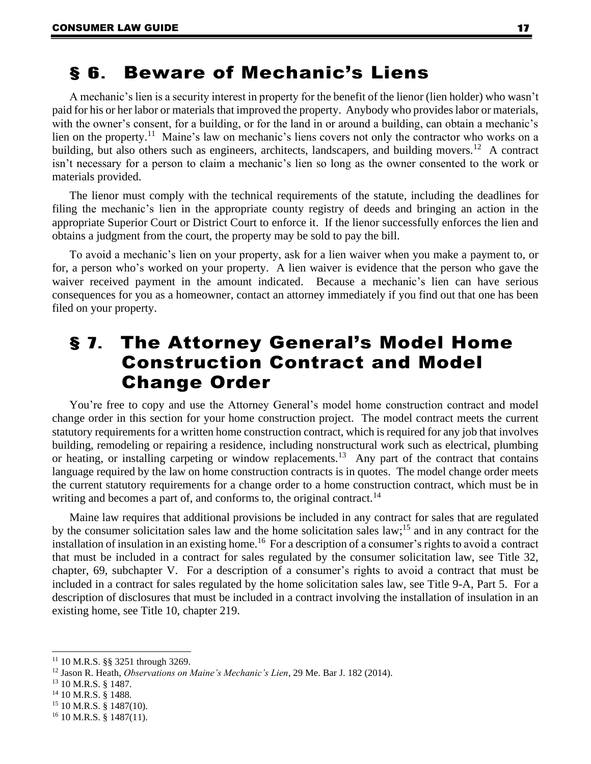### § 6. Beware of Mechanic's Liens

A mechanic's lien is a security interest in property for the benefit of the lienor (lien holder) who wasn't paid for his or her labor or materials that improved the property. Anybody who provides labor or materials, with the owner's consent, for a building, or for the land in or around a building, can obtain a mechanic's lien on the property.<sup>11</sup> Maine's law on mechanic's liens covers not only the contractor who works on a building, but also others such as engineers, architects, landscapers, and building movers.<sup>12</sup> A contract isn't necessary for a person to claim a mechanic's lien so long as the owner consented to the work or materials provided.

The lienor must comply with the technical requirements of the statute, including the deadlines for filing the mechanic's lien in the appropriate county registry of deeds and bringing an action in the appropriate Superior Court or District Court to enforce it. If the lienor successfully enforces the lien and obtains a judgment from the court, the property may be sold to pay the bill.

To avoid a mechanic's lien on your property, ask for a lien waiver when you make a payment to, or for, a person who's worked on your property. A lien waiver is evidence that the person who gave the waiver received payment in the amount indicated. Because a mechanic's lien can have serious consequences for you as a homeowner, contact an attorney immediately if you find out that one has been filed on your property.

### § 7. The Attorney General's Model Home Construction Contract and Model Change Order

You're free to copy and use the Attorney General's model home construction contract and model change order in this section for your home construction project. The model contract meets the current statutory requirements for a written home construction contract, which is required for any job that involves building, remodeling or repairing a residence, including nonstructural work such as electrical, plumbing or heating, or installing carpeting or window replacements.<sup>13</sup> Any part of the contract that contains language required by the law on home construction contracts is in quotes. The model change order meets the current statutory requirements for a change order to a home construction contract, which must be in writing and becomes a part of, and conforms to, the original contract.<sup>14</sup>

Maine law requires that additional provisions be included in any contract for sales that are regulated by the consumer solicitation sales law and the home solicitation sales law;<sup>15</sup> and in any contract for the installation of insulation in an existing home.<sup>16</sup> For a description of a consumer's rights to avoid a contract that must be included in a contract for sales regulated by the consumer solicitation law, see Title 32, chapter, 69, subchapter V. For a description of a consumer's rights to avoid a contract that must be included in a contract for sales regulated by the home solicitation sales law, see Title 9-A, Part 5. For a description of disclosures that must be included in a contract involving the installation of insulation in an existing home, see Title 10, chapter 219.

<sup>15</sup> 10 M.R.S. § 1487(10).

<sup>11</sup> 10 M.R.S. §§ 3251 through 3269.

<sup>12</sup> Jason R. Heath, *Observations on Maine's Mechanic's Lien*, 29 Me. Bar J. 182 (2014).

<sup>13</sup> 10 M.R.S. § 1487.

<sup>&</sup>lt;sup>14</sup> 10 M.R.S. § 1488.

<sup>16</sup> 10 M.R.S. § 1487(11).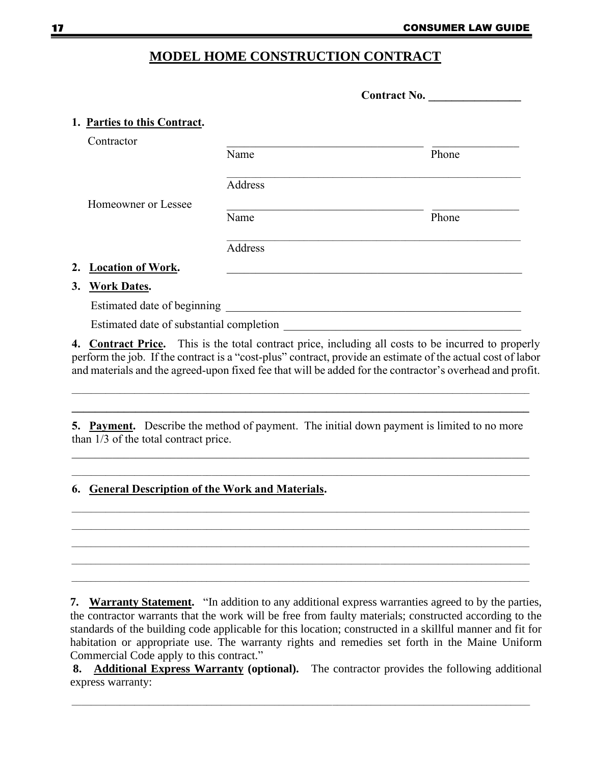#### **MODEL HOME CONSTRUCTION CONTRACT**

|                                          | <b>Contract No.</b> |       |
|------------------------------------------|---------------------|-------|
| 1. Parties to this Contract.             |                     |       |
| Contractor                               |                     |       |
|                                          | Name                | Phone |
|                                          | Address             |       |
| Homeowner or Lessee                      |                     |       |
|                                          | Name                | Phone |
|                                          | Address             |       |
| 2. Location of Work.                     |                     |       |
| 3. Work Dates.                           |                     |       |
| Estimated date of beginning              |                     |       |
| Estimated date of substantial completion |                     |       |

**4. Contract Price.** This is the total contract price, including all costs to be incurred to properly perform the job. If the contract is a "cost-plus" contract, provide an estimate of the actual cost of labor and materials and the agreed-upon fixed fee that will be added for the contractor's overhead and profit.

**5. Payment.** Describe the method of payment. The initial down payment is limited to no more than 1/3 of the total contract price.

 $\_$  , and the set of the set of the set of the set of the set of the set of the set of the set of the set of the set of the set of the set of the set of the set of the set of the set of the set of the set of the set of th  $\mathcal{L} = \{ \mathcal{L} = \{ \mathcal{L} = \{ \mathcal{L} = \{ \mathcal{L} = \{ \mathcal{L} = \{ \mathcal{L} = \{ \mathcal{L} = \{ \mathcal{L} = \{ \mathcal{L} = \{ \mathcal{L} = \{ \mathcal{L} = \{ \mathcal{L} = \{ \mathcal{L} = \{ \mathcal{L} = \{ \mathcal{L} = \{ \mathcal{L} = \{ \mathcal{L} = \{ \mathcal{L} = \{ \mathcal{L} = \{ \mathcal{L} = \{ \mathcal{L} = \{ \mathcal{L} = \{ \mathcal{L} = \{ \mathcal{$ 

 $\mathcal{L}_\mathcal{L} = \{ \mathcal{L}_\mathcal{L} = \{ \mathcal{L}_\mathcal{L} = \{ \mathcal{L}_\mathcal{L} = \{ \mathcal{L}_\mathcal{L} = \{ \mathcal{L}_\mathcal{L} = \{ \mathcal{L}_\mathcal{L} = \{ \mathcal{L}_\mathcal{L} = \{ \mathcal{L}_\mathcal{L} = \{ \mathcal{L}_\mathcal{L} = \{ \mathcal{L}_\mathcal{L} = \{ \mathcal{L}_\mathcal{L} = \{ \mathcal{L}_\mathcal{L} = \{ \mathcal{L}_\mathcal{L} = \{ \mathcal{L}_\mathcal{$ 

#### **6. General Description of the Work and Materials.**

**7. Warranty Statement.** "In addition to any additional express warranties agreed to by the parties, the contractor warrants that the work will be free from faulty materials; constructed according to the standards of the building code applicable for this location; constructed in a skillful manner and fit for habitation or appropriate use. The warranty rights and remedies set forth in the Maine Uniform Commercial Code apply to this contract."

**8. Additional Express Warranty (optional).** The contractor provides the following additional express warranty: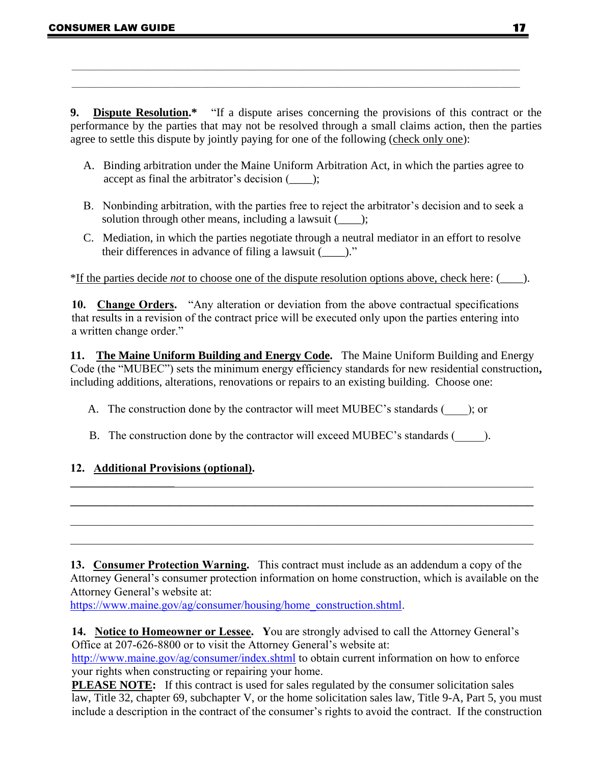**9. Dispute Resolution.\*** "If a dispute arises concerning the provisions of this contract or the performance by the parties that may not be resolved through a small claims action, then the parties agree to settle this dispute by jointly paying for one of the following (check only one):

- A. Binding arbitration under the Maine Uniform Arbitration Act, in which the parties agree to accept as final the arbitrator's decision (*\_\_\_\_*);
- B. Nonbinding arbitration, with the parties free to reject the arbitrator's decision and to seek a solution through other means, including a lawsuit (*\_\_\_\_*);
- C. Mediation, in which the parties negotiate through a neutral mediator in an effort to resolve their differences in advance of filing a lawsuit (*\_\_\_\_*)."

\*If the parties decide *not* to choose one of the dispute resolution options above, check here: (\_\_\_\_).

**10. Change Orders.** "Any alteration or deviation from the above contractual specifications that results in a revision of the contract price will be executed only upon the parties entering into a written change order."

**11. The Maine Uniform Building and Energy Code.** The Maine Uniform Building and Energy Code (the "MUBEC") sets the minimum energy efficiency standards for new residential construction**,**  including additions, alterations, renovations or repairs to an existing building. Choose one:

- A. The construction done by the contractor will meet MUBEC's standards (equal to ); or
- B. The construction done by the contractor will exceed MUBEC's standards ( $\qquad$ ).

**\_\_\_\_\_\_\_\_\_\_\_\_\_\_\_\_\_\_**\_\_\_\_\_\_\_\_\_\_\_\_\_\_\_\_\_\_\_\_\_\_\_\_\_\_\_\_\_\_\_\_\_\_\_\_\_\_\_\_\_\_\_\_\_\_\_\_\_\_\_\_\_\_\_\_\_\_\_\_\_\_ **\_\_\_\_\_\_\_\_\_\_\_\_\_\_\_\_\_\_\_\_\_\_\_\_\_\_\_\_\_\_\_\_\_\_\_\_\_\_\_\_\_\_\_\_\_\_\_\_\_\_\_\_\_\_\_\_\_\_\_\_\_\_\_\_\_\_\_\_\_\_\_\_\_\_\_\_\_\_\_\_**

#### **12. Additional Provisions (optional).**

**13. Consumer Protection Warning.** This contract must include as an addendum a copy of the Attorney General's consumer protection information on home construction, which is available on the Attorney General's website at:

https://www.maine.gov/ag/consumer/housing/home\_construction.shtml.

**14. Notice to Homeowner or Lessee. Y**ou are strongly advised to call the Attorney General's Office at 207-626-8800 or to visit the Attorney General's website at:

http://www.maine.gov/ag/consumer/index.shtml to obtain current information on how to enforce your rights when constructing or repairing your home.

**PLEASE NOTE:** If this contract is used for sales regulated by the consumer solicitation sales law, Title 32, chapter 69, subchapter V, or the home solicitation sales law, Title 9-A, Part 5, you must include a description in the contract of the consumer's rights to avoid the contract. If the construction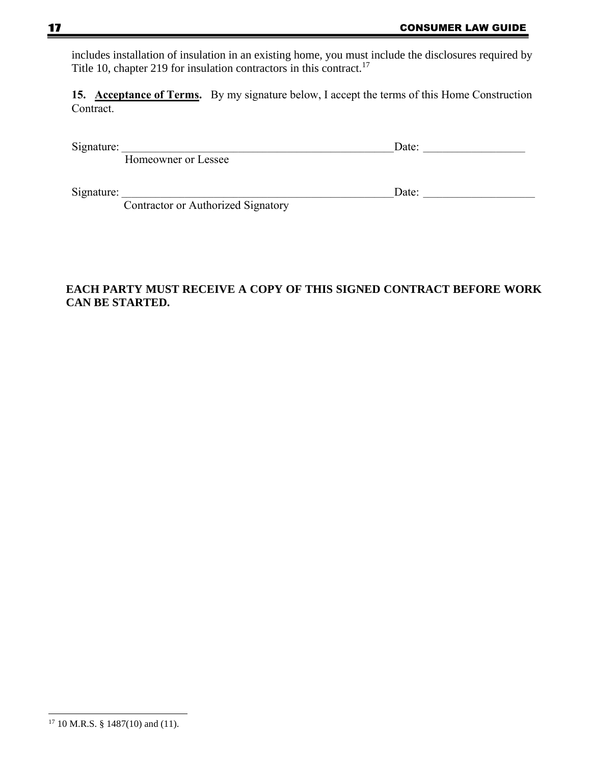includes installation of insulation in an existing home, you must include the disclosures required by Title 10, chapter 219 for insulation contractors in this contract.<sup>17</sup>

15. Acceptance of Terms. By my signature below, I accept the terms of this Home Construction Contract.

Signature: \_\_\_\_\_\_\_\_\_\_\_\_\_\_\_\_\_\_\_\_\_\_\_\_\_\_\_\_\_\_\_\_\_\_\_\_\_\_\_\_\_\_\_\_\_\_\_\_\_\_\_\_\_\_\_\_Date: \_\_\_\_\_\_\_\_\_\_\_\_\_\_\_\_\_\_\_\_\_

Homeowner or Lessee

Signature: \_\_\_\_\_\_\_\_\_\_\_\_\_\_\_\_\_\_\_\_\_\_\_\_\_\_\_\_\_\_\_\_\_\_\_\_\_\_\_\_\_\_\_\_\_\_\_\_\_\_\_\_\_\_\_\_Date: \_\_\_\_\_\_\_\_\_\_\_\_\_\_\_\_\_\_\_\_\_\_\_

Contractor or Authorized Signatory

#### **EACH PARTY MUST RECEIVE A COPY OF THIS SIGNED CONTRACT BEFORE WORK CAN BE STARTED.**

 $17$  10 M.R.S. § 1487(10) and (11).